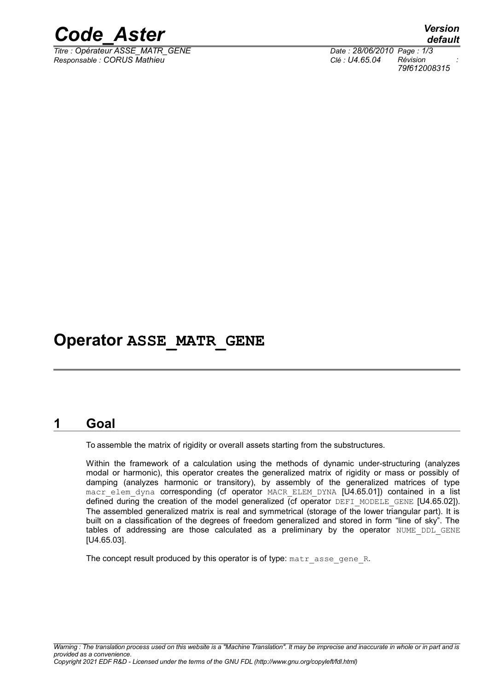

*Titre : Opérateur ASSE\_MATR\_GENE Date : 28/06/2010 Page : 1/3 Responsable : CORUS Mathieu Clé : U4.65.04 Révision :*

*default 79f612008315*

# **Operator ASSE\_MATR\_GENE**

### **1 Goal**

To assemble the matrix of rigidity or overall assets starting from the substructures.

Within the framework of a calculation using the methods of dynamic under-structuring (analyzes modal or harmonic), this operator creates the generalized matrix of rigidity or mass or possibly of damping (analyzes harmonic or transitory), by assembly of the generalized matrices of type macr\_elem\_dyna corresponding (cf operator MACR\_ELEM\_DYNA [U4.65.01]) contained in a list defined during the creation of the model generalized (cf operator DEFI\_MODELE\_GENE [U4.65.02]). The assembled generalized matrix is real and symmetrical (storage of the lower triangular part). It is built on a classification of the degrees of freedom generalized and stored in form "line of sky". The tables of addressing are those calculated as a preliminary by the operator NUME DDL GENE [U4.65.03].

The concept result produced by this operator is of type: matr asse gene R.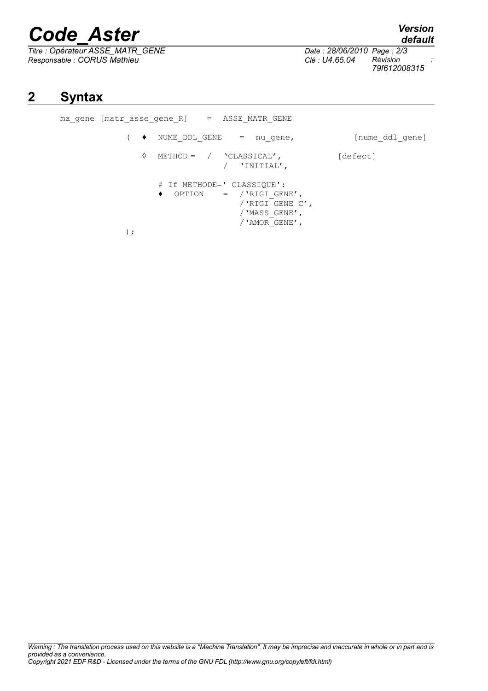# *Code\_Aster Version*

*Titre : Opérateur ASSE\_MATR\_GENE Date : 28/06/2010 Page : 2/3 Responsable : CORUS Mathieu Clé : U4.65.04 Révision :*

);

ma gene [matr asse gene R] = ASSE MATR GENE

*79f612008315*

( ♦ NUME\_DDL\_GENE = nu\_gene, [nume\_ddl\_gene]

/'RIGI\_GENE\_C', /'MASS\_GENE', /'AMOR\_GENE',

◊ METHOD = / 'CLASSICAL'' [defect] / 'INITIAL''

# If METHODE=' CLASSIQUE': ♦ OPTION = /'RIGI\_GENE', *default*

# **2 Syntax**

| Warning : The translation process used on this website is a "Machine Translation". It may be imprecise and inaccurate in whole or in part and is |  |
|--------------------------------------------------------------------------------------------------------------------------------------------------|--|
| provided as a convenience.                                                                                                                       |  |
| (copyright 2021 EDF R&D - Licensed under the terms of the GNU FDL (http://www.gnu.org/copyleft/fdl.html                                          |  |
|                                                                                                                                                  |  |